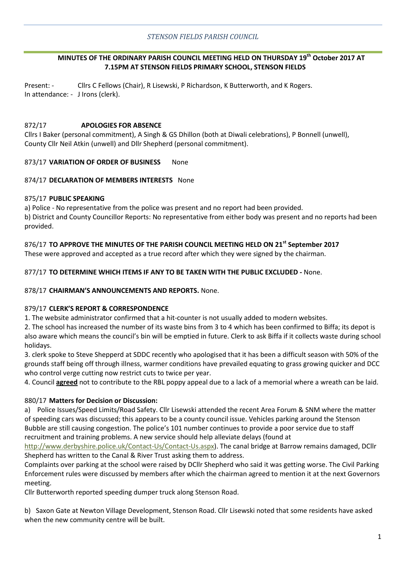## *STENSON FIELDS PARISH COUNCIL*

## **MINUTES OF THE ORDINARY PARISH COUNCIL MEETING HELD ON THURSDAY 19th October 2017 AT 7.15PM AT STENSON FIELDS PRIMARY SCHOOL, STENSON FIELDS**

Present: - Cllrs C Fellows (Chair), R Lisewski, P Richardson, K Butterworth, and K Rogers. In attendance: - J Irons (clerk).

#### 872/17 **APOLOGIES FOR ABSENCE**

Cllrs I Baker (personal commitment), A Singh & GS Dhillon (both at Diwali celebrations), P Bonnell (unwell), County Cllr Neil Atkin (unwell) and Dllr Shepherd (personal commitment).

#### 873/17 **VARIATION OF ORDER OF BUSINESS** None

#### 874/17 **DECLARATION OF MEMBERS INTERESTS** None

## 875/17 **PUBLIC SPEAKING**

a) Police - No representative from the police was present and no report had been provided. b) District and County Councillor Reports: No representative from either body was present and no reports had been provided.

## 876/17 **TO APPROVE THE MINUTES OF THE PARISH COUNCIL MEETING HELD ON 21st September 2017**

These were approved and accepted as a true record after which they were signed by the chairman.

## 877/17 **TO DETERMINE WHICH ITEMS IF ANY TO BE TAKEN WITH THE PUBLIC EXCLUDED -** None.

#### 878/17 **CHAIRMAN'S ANNOUNCEMENTS AND REPORTS.** None.

## 879/17 **CLERK'S REPORT & CORRESPONDENCE**

1. The website administrator confirmed that a hit-counter is not usually added to modern websites.

2. The school has increased the number of its waste bins from 3 to 4 which has been confirmed to Biffa; its depot is also aware which means the council's bin will be emptied in future. Clerk to ask Biffa if it collects waste during school holidays.

3. clerk spoke to Steve Shepperd at SDDC recently who apologised that it has been a difficult season with 50% of the grounds staff being off through illness, warmer conditions have prevailed equating to grass growing quicker and DCC who control verge cutting now restrict cuts to twice per year.

4. Council **agreed** not to contribute to the RBL poppy appeal due to a lack of a memorial where a wreath can be laid.

## 880/17 **Matters for Decision or Discussion:**

a) Police Issues/Speed Limits/Road Safety. Cllr Lisewski attended the recent Area Forum & SNM where the matter of speeding cars was discussed; this appears to be a county council issue. Vehicles parking around the Stenson Bubble are still causing congestion. The police's 101 number continues to provide a poor service due to staff recruitment and training problems. A new service should help alleviate delays (found at

[http://www.derbyshire.police.uk/Contact-Us/Contact-Us.aspx\)](http://www.derbyshire.police.uk/Contact-Us/Contact-Us.aspx). The canal bridge at Barrow remains damaged, DCllr Shepherd has written to the Canal & River Trust asking them to address.

Complaints over parking at the school were raised by DCllr Shepherd who said it was getting worse. The Civil Parking Enforcement rules were discussed by members after which the chairman agreed to mention it at the next Governors meeting.

Cllr Butterworth reported speeding dumper truck along Stenson Road.

b) Saxon Gate at Newton Village Development, Stenson Road. Cllr Lisewski noted that some residents have asked when the new community centre will be built.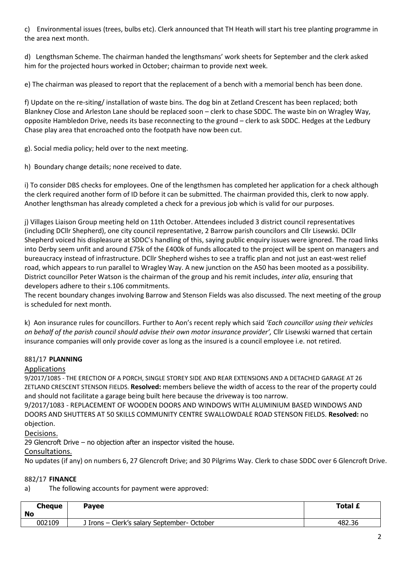c) Environmental issues (trees, bulbs etc). Clerk announced that TH Heath will start his tree planting programme in the area next month.

d) Lengthsman Scheme. The chairman handed the lengthsmans' work sheets for September and the clerk asked him for the projected hours worked in October; chairman to provide next week.

e) The chairman was pleased to report that the replacement of a bench with a memorial bench has been done.

f) Update on the re-siting/ installation of waste bins. The dog bin at Zetland Crescent has been replaced; both Blankney Close and Arleston Lane should be replaced soon – clerk to chase SDDC. The waste bin on Wragley Way, opposite Hambledon Drive, needs its base reconnecting to the ground – clerk to ask SDDC. Hedges at the Ledbury Chase play area that encroached onto the footpath have now been cut.

g). Social media policy; held over to the next meeting.

h) Boundary change details; none received to date.

i) To consider DBS checks for employees. One of the lengthsmen has completed her application for a check although the clerk required another form of ID before it can be submitted. The chairman provided this, clerk to now apply. Another lengthsman has already completed a check for a previous job which is valid for our purposes.

j) Villages Liaison Group meeting held on 11th October. Attendees included 3 district council representatives (including DCllr Shepherd), one city council representative, 2 Barrow parish councilors and Cllr Lisewski. DCllr Shepherd voiced his displeasure at SDDC's handling of this, saying public enquiry issues were ignored. The road links into Derby seem unfit and around £75k of the £400k of funds allocated to the project will be spent on managers and bureaucracy instead of infrastructure. DCllr Shepherd wishes to see a traffic plan and not just an east-west relief road, which appears to run parallel to Wragley Way. A new junction on the A50 has been mooted as a possibility. District councillor Peter Watson is the chairman of the group and his remit includes, *inter alia*, ensuring that developers adhere to their s.106 commitments.

The recent boundary changes involving Barrow and Stenson Fields was also discussed. The next meeting of the group is scheduled for next month.

k) Aon insurance rules for councillors. Further to Aon's recent reply which said *'Each councillor using their vehicles on behalf of the parish council should advise their own motor insurance provider',* Cllr Lisewski warned that certain insurance companies will only provide cover as long as the insured is a council employee i.e. not retired.

# 881/17 **PLANNING**

## Applications

9/2017/1085 - THE ERECTION OF A PORCH, SINGLE STOREY SIDE AND REAR EXTENSIONS AND A DETACHED GARAGE AT 26 ZETLAND CRESCENT STENSON FIELDS. **Resolved:** members believe the width of access to the rear of the property could and should not facilitate a garage being built here because the driveway is too narrow.

9/2017/1083 - REPLACEMENT OF WOODEN DOORS AND WINDOWS WITH ALUMINIUM BASED WINDOWS AND DOORS AND SHUTTERS AT 50 SKILLS COMMUNITY CENTRE SWALLOWDALE ROAD STENSON FIELDS. **Resolved:** no objection.

Decisions.

29 Glencroft Drive – no objection after an inspector visited the house.

## Consultations.

No updates (if any) on numbers 6, 27 Glencroft Drive; and 30 Pilgrims Way. Clerk to chase SDDC over 6 Glencroft Drive.

# 882/17 **FINANCE**

a) The following accounts for payment were approved:

| <b>Cheque</b><br>No | <b>Payee</b>                                | <b>Total £</b> |
|---------------------|---------------------------------------------|----------------|
| 002109              | J Irons - Clerk's salary September- October | 482.36         |